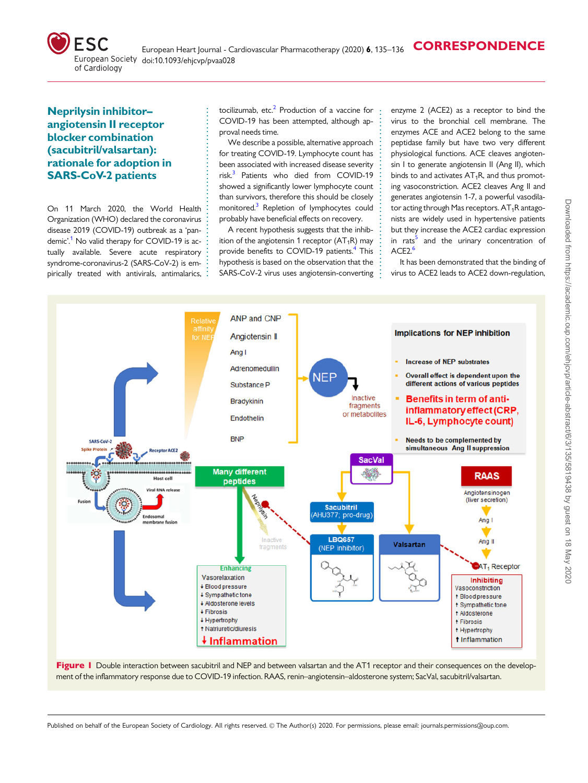<span id="page-0-0"></span>

## . Neprilysin inhibitor– angiotensin II receptor blocker combination (sacubitril/valsartan): rationale for adoption in SARS-CoV-2 patients

On 11 March 2020, the World Health Organization (WHO) declared the coronavirus disease 2019 (COVID-19) outbreak as a 'pandemic'[.1](#page-1-0) No valid therapy for COVID-19 is actually available. Severe acute respiratory syndrome-coronavirus-2 (SARS-CoV-2) is empirically treated with antivirals, antimalarics,

. . . . . . . . . . . . . . . . . . . . . . . . . . . . . . . . . . . . . . . . . . . tocilizumab, etc.<sup>[2](#page-1-0)</sup> Production of a vaccine for COVID-19 has been attempted, although approval needs time.

We describe a possible, alternative approach for treating COVID-19. Lymphocyte count has been associated with increased disease severity risk.<sup>3</sup> Patients who died from COVID-19 showed a significantly lower lymphocyte count than survivors, therefore this should be closely monitored.<sup>3</sup> Repletion of lymphocytes could probably have beneficial effects on recovery.

A recent hypothesis suggests that the inhibition of the angiotensin 1 receptor  $(AT_1R)$  may provide benefits to COVID-19 patients.<sup>4</sup> This hypothesis is based on the observation that the SARS-CoV-2 virus uses angiotensin-converting

. . . . . . . . . . . . . . . . . . . . . . . . . . . . . . . . . . . . . . . . . . . .

enzyme 2 (ACE2) as a receptor to bind the virus to the bronchial cell membrane. The enzymes ACE and ACE2 belong to the same peptidase family but have two very different physiological functions. ACE cleaves angiotensin I to generate angiotensin II (Ang II), which binds to and activates  $AT_1R$ , and thus promoting vasoconstriction. ACE2 cleaves Ang II and generates angiotensin 1-7, a powerful vasodilator acting through Mas receptors.  $AT_1R$  antagonists are widely used in hypertensive patients but they increase the ACE2 cardiac expression in rats<sup>5</sup> and the urinary concentration of ACE<sub>2.</sub>[6](#page-1-0)

It has been demonstrated that the binding of virus to ACE2 leads to ACE2 down-regulation,



Figure I Double interaction between sacubitril and NEP and between valsartan and the AT1 receptor and their consequences on the development of the inflammatory response due to COVID-19 infection. RAAS, renin–angiotensin–aldosterone system; SacVal, sacubitril/valsartan.